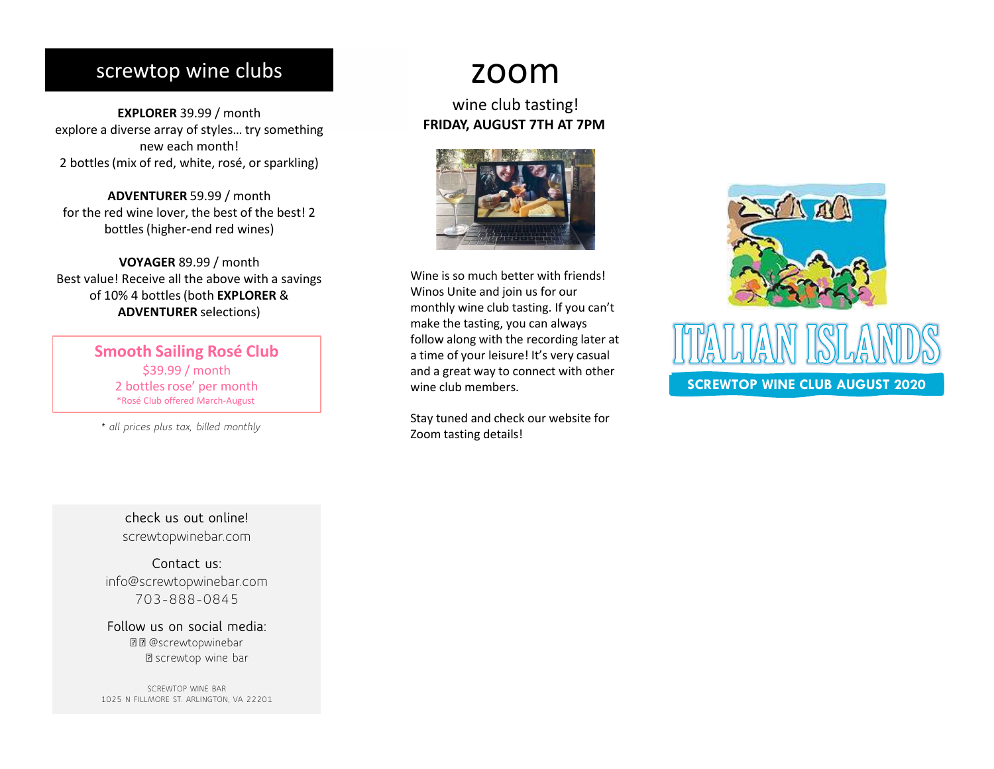# screwtop wine clubs

EXPLORER 39.99 / month explore a diverse array of styles… try something new each month! 2 bottles (mix of red, white, rosé, or sparkling)

ADVENTURER 59.99 / month for the red wine lover, the best of the best! 2 bottles (higher-end red wines)

VOYAGER 89.99 / month Best value! Receive all the above with a savings of 10% 4 bottles (both EXPLORER & ADVENTURER selections)

> Smooth Sailing Rosé Club \$39.99 / month 2 bottles rose' per month \*Rosé Club offered March-August

\* all prices plus tax, billed monthly

zoom

wine club tasting! FRIDAY, AUGUST 7TH AT 7PM



Wine is so much better with friends! Winos Unite and join us for our monthly wine club tasting. If you can't make the tasting, you can always follow along with the recording later at a time of your leisure! It's very casual and a great way to connect with other wine club members. **Solidary Rosé Club**<br>
follow along with the reco<br>
space of permonth<br>
seculo direct March-August<br>
rices plus tox, billed monthly<br>
seculo direct March-August<br>
rices plus tox, billed monthly<br>
stay tuned and check curve<br> **Stay** 

Stay tuned and check our website for Zoom tasting details!



SCREWTOP WINE CLUB AUGUST 2020

check us out online! screwtopwinebar.com

Contact us: info@screwtopwinebar.com 703-888-0845

Follow us on social media: **B** screwtop wine bar

SCREWTOP WINE BAR 1025 N FILLMORE ST. ARLINGTON, VA 22201